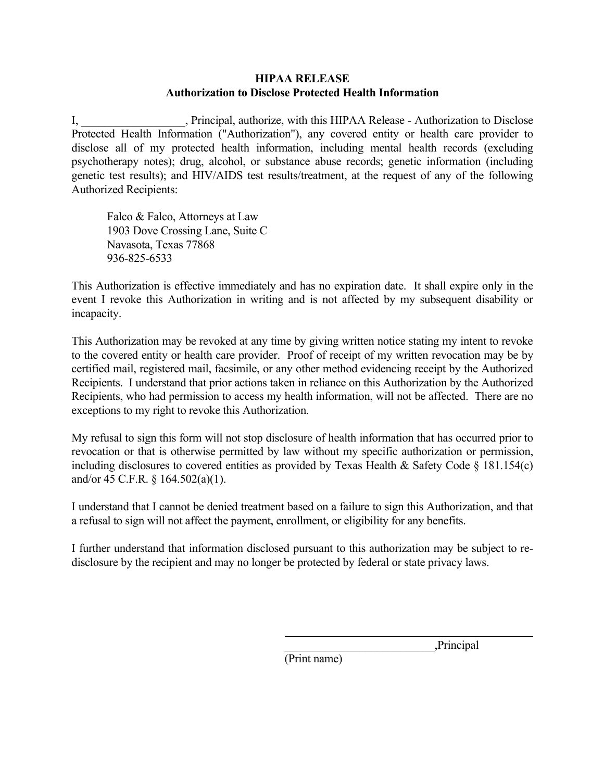## **HIPAA RELEASE Authorization to Disclose Protected Health Information**

I, Principal, authorize, with this HIPAA Release - Authorization to Disclose Protected Health Information ("Authorization"), any covered entity or health care provider to disclose all of my protected health information, including mental health records (excluding psychotherapy notes); drug, alcohol, or substance abuse records; genetic information (including genetic test results); and HIV/AIDS test results/treatment, at the request of any of the following Authorized Recipients:

Falco & Falco, Attorneys at Law 1903 Dove Crossing Lane, Suite C Navasota, Texas 77868 936-825-6533

This Authorization is effective immediately and has no expiration date. It shall expire only in the event I revoke this Authorization in writing and is not affected by my subsequent disability or incapacity.

This Authorization may be revoked at any time by giving written notice stating my intent to revoke to the covered entity or health care provider. Proof of receipt of my written revocation may be by certified mail, registered mail, facsimile, or any other method evidencing receipt by the Authorized Recipients. I understand that prior actions taken in reliance on this Authorization by the Authorized Recipients, who had permission to access my health information, will not be affected. There are no exceptions to my right to revoke this Authorization.

My refusal to sign this form will not stop disclosure of health information that has occurred prior to revocation or that is otherwise permitted by law without my specific authorization or permission, including disclosures to covered entities as provided by Texas Health & Safety Code  $\S$  181.154(c) and/or 45 C.F.R. § 164.502(a)(1).

I understand that I cannot be denied treatment based on a failure to sign this Authorization, and that a refusal to sign will not affect the payment, enrollment, or eligibility for any benefits.

I further understand that information disclosed pursuant to this authorization may be subject to redisclosure by the recipient and may no longer be protected by federal or state privacy laws.

\_\_\_\_\_\_\_\_\_\_\_\_\_\_\_\_\_\_\_\_\_\_\_\_\_\_,Principal

(Print name)